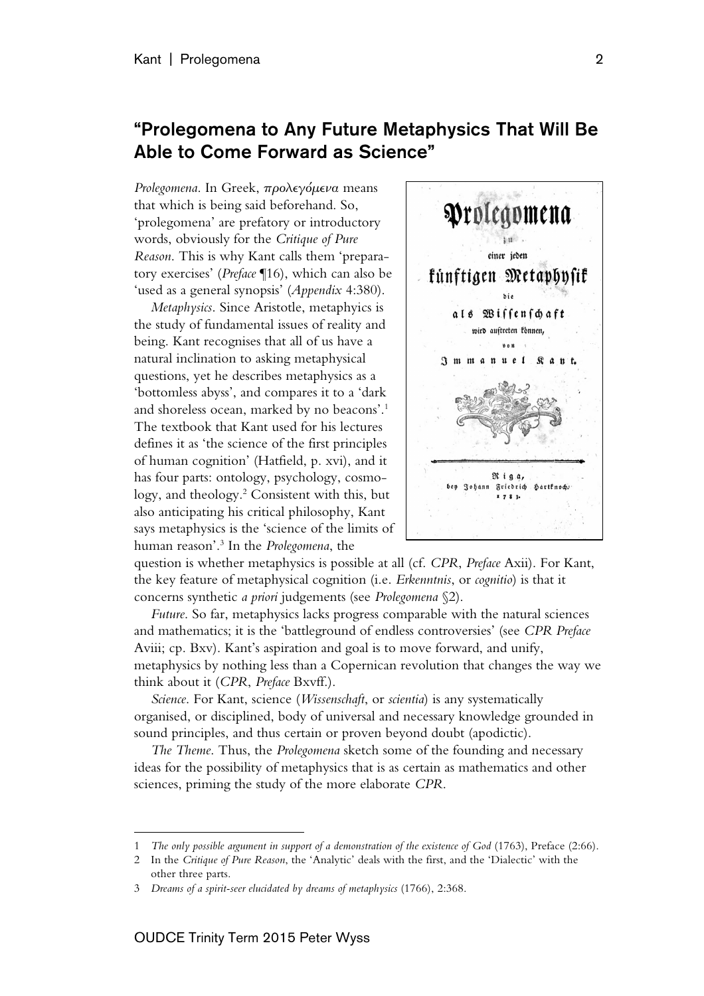## "Prolegomena to Any Future Metaphysics That Will Be Able to Come Forward as Science"

*Prolegomena*. In Greek, προλεγόμενα means that which is being said beforehand. So, 'prolegomena' are prefatory or introductory words, obviously for the *Critique of Pure Reason*. This is why Kant calls them 'preparatory exercises' (*Preface* ¶16), which can also be 'used as a general synopsis' (*Appendix* 4:380).

*Metaphysics*. Since Aristotle, metaphyics is the study of fundamental issues of reality and being. Kant recognises that all of us have a natural inclination to asking metaphysical questions, yet he describes metaphysics as a 'bottomless abyss', and compares it to a 'dark and shoreless ocean, marked by no beacons'. 1 The textbook that Kant used for his lectures defines it as 'the science of the first principles of human cognition' (Hatfield, p. xvi), and it has four parts: ontology, psychology, cosmology, and theology.2 Consistent with this, but also anticipating his critical philosophy, Kant says metaphysics is the 'science of the limits of human reason'.3 In the *Prolegomena*, the



question is whether metaphysics is possible at all (cf. *CPR*, *Preface* Axii). For Kant, the key feature of metaphysical cognition (i.e. *Erkenntnis*, or *cognitio*) is that it concerns synthetic *a priori* judgements (see *Prolegomena* §2).

*Future*. So far, metaphysics lacks progress comparable with the natural sciences and mathematics; it is the 'battleground of endless controversies' (see *CPR Preface* Aviii; cp. Bxv). Kant's aspiration and goal is to move forward, and unify, metaphysics by nothing less than a Copernican revolution that changes the way we think about it (*CPR*, *Preface* Bxvff.).

*Science*. For Kant, science (*Wissenschaft*, or *scientia*) is any systematically organised, or disciplined, body of universal and necessary knowledge grounded in sound principles, and thus certain or proven beyond doubt (apodictic).

*The Theme*. Thus, the *Prolegomena* sketch some of the founding and necessary ideas for the possibility of metaphysics that is as certain as mathematics and other sciences, priming the study of the more elaborate *CPR*.

 $\overline{a}$ 

<sup>1</sup> *The only possible argument in support of a demonstration of the existence of God* (1763), Preface (2:66).

<sup>2</sup> In the *Critique of Pure Reason*, the 'Analytic' deals with the first, and the 'Dialectic' with the other three parts.

<sup>3</sup> *Dreams of a spirit-seer elucidated by dreams of metaphysics* (1766), 2:368.